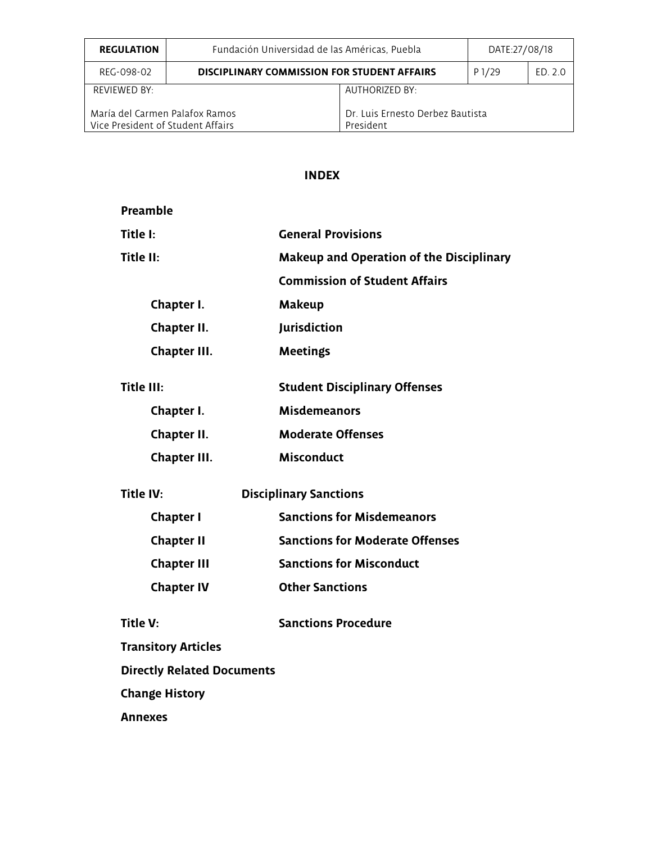| <b>REGULATION</b>                                                   | Fundación Universidad de las Américas, Puebla |                                               | DATE:27/08/18 |         |
|---------------------------------------------------------------------|-----------------------------------------------|-----------------------------------------------|---------------|---------|
| REG-098-02                                                          | DISCIPLINARY COMMISSION FOR STUDENT AFFAIRS   |                                               | P 1/29        | $FD$ 20 |
| REVIEWED BY.                                                        |                                               | AUTHORIZED BY:                                |               |         |
| María del Carmen Palafox Ramos<br>Vice President of Student Affairs |                                               | Dr. Luis Ernesto Derbez Bautista<br>President |               |         |

# **INDEX**

| Preamble                          |                                          |
|-----------------------------------|------------------------------------------|
| Title I:                          | <b>General Provisions</b>                |
| Title II:                         | Makeup and Operation of the Disciplinary |
|                                   | <b>Commission of Student Affairs</b>     |
| Chapter I.                        | Makeup                                   |
| Chapter II.                       | Jurisdiction                             |
| Chapter III.                      | <b>Meetings</b>                          |
| Title III:                        | <b>Student Disciplinary Offenses</b>     |
| Chapter I.                        | <b>Misdemeanors</b>                      |
| Chapter II.                       | <b>Moderate Offenses</b>                 |
| <b>Chapter III.</b>               | <b>Misconduct</b>                        |
| Title IV:                         | <b>Disciplinary Sanctions</b>            |
| <b>Chapter I</b>                  | <b>Sanctions for Misdemeanors</b>        |
| <b>Chapter II</b>                 | <b>Sanctions for Moderate Offenses</b>   |
| <b>Chapter III</b>                | <b>Sanctions for Misconduct</b>          |
| <b>Chapter IV</b>                 | <b>Other Sanctions</b>                   |
| Title V:                          | <b>Sanctions Procedure</b>               |
| <b>Transitory Articles</b>        |                                          |
| <b>Directly Related Documents</b> |                                          |
| <b>Change History</b>             |                                          |
| <b>Annexes</b>                    |                                          |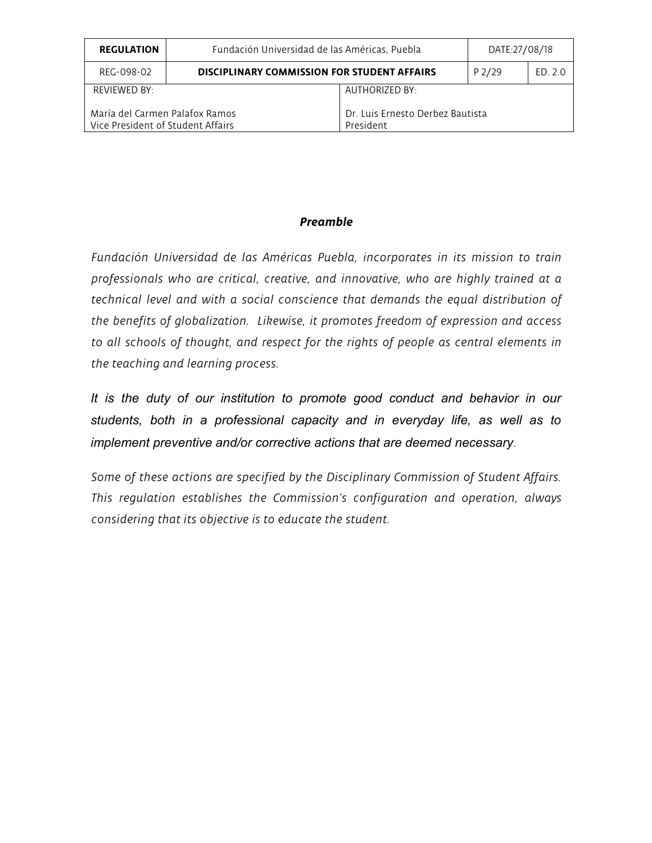| <b>REGULATION</b>                                                   | Fundación Universidad de las Américas, Puebla      |                                               | DATE:27/08/18 |         |
|---------------------------------------------------------------------|----------------------------------------------------|-----------------------------------------------|---------------|---------|
| REG-098-02                                                          | <b>DISCIPLINARY COMMISSION FOR STUDENT AFFAIRS</b> |                                               | $P$ 2/29      | ED. 2.0 |
| REVIEWED BY:                                                        |                                                    | <b>AUTHORIZED BY:</b>                         |               |         |
| María del Carmen Palafox Ramos<br>Vice President of Student Affairs |                                                    | Dr. Luis Ernesto Derbez Bautista<br>President |               |         |

### *Preamble*

*Fundación Universidad de las Américas Puebla, incorporates in its mission to train professionals who are critical, creative, and innovative, who are highly trained at a technical level and with a social conscience that demands the equal distribution of the benefits of globalization. Likewise, it promotes freedom of expression and access to all schools of thought, and respect for the rights of people as central elements in the teaching and learning process.*

*It is the duty of our institution to promote good conduct and behavior in our students, both in a professional capacity and in everyday life, as well as to implement preventive and/or corrective actions that are deemed necessary.*

*Some of these actions are specified by the Disciplinary Commission of Student Affairs. This regulation establishes the Commission's configuration and operation, always considering that its objective is to educate the student.*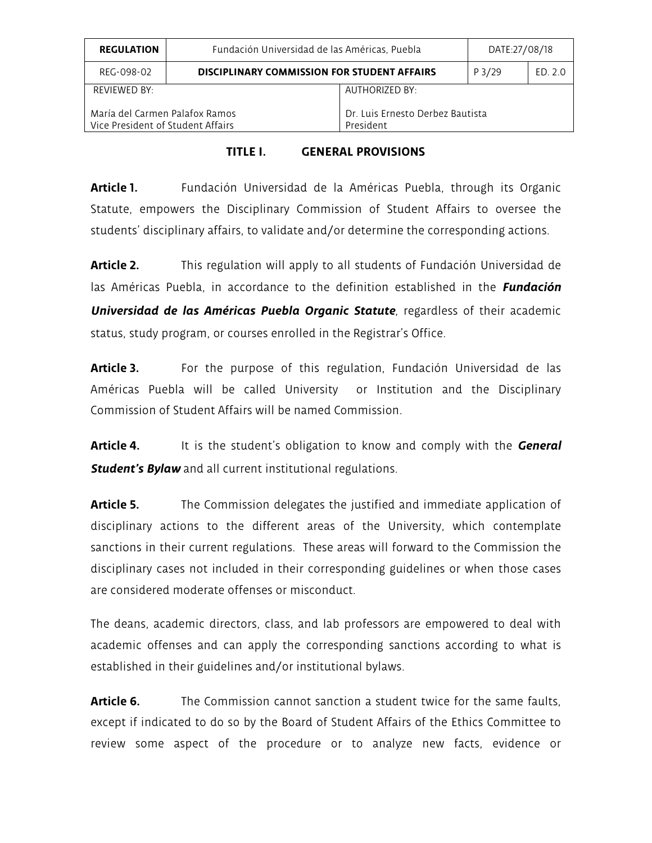| <b>REGULATION</b>                                                   | Fundación Universidad de las Américas, Puebla      |                                               | DATE:27/08/18 |         |
|---------------------------------------------------------------------|----------------------------------------------------|-----------------------------------------------|---------------|---------|
| REG-098-02                                                          | <b>DISCIPLINARY COMMISSION FOR STUDENT AFFAIRS</b> |                                               | $P$ 3/29      | $FD$ 20 |
| REVIEWED BY:                                                        |                                                    | AUTHORIZED BY:                                |               |         |
| María del Carmen Palafox Ramos<br>Vice President of Student Affairs |                                                    | Dr. Luis Ernesto Derbez Bautista<br>President |               |         |

#### **TITLE I. GENERAL PROVISIONS**

**Article 1.** Fundación Universidad de la Américas Puebla, through its Organic Statute, empowers the Disciplinary Commission of Student Affairs to oversee the students' disciplinary affairs, to validate and/or determine the corresponding actions.

**Article 2.** This regulation will apply to all students of Fundación Universidad de las Américas Puebla, in accordance to the definition established in the *Fundación Universidad de las Américas Puebla Organic Statute*, regardless of their academic status, study program, or courses enrolled in the Registrar's Office.

**Article 3.** For the purpose of this regulation, Fundación Universidad de las Américas Puebla will be called University or Institution and the Disciplinary Commission of Student Affairs will be named Commission*.*

**Article 4.** It is the student's obligation to know and comply with the *General Student's Bylaw* and all current institutional regulations.

**Article 5.** The Commission delegates the justified and immediate application of disciplinary actions to the different areas of the University, which contemplate sanctions in their current regulations. These areas will forward to the Commission the disciplinary cases not included in their corresponding guidelines or when those cases are considered moderate offenses or misconduct.

The deans, academic directors, class, and lab professors are empowered to deal with academic offenses and can apply the corresponding sanctions according to what is established in their guidelines and/or institutional bylaws.

**Article 6.** The Commission cannot sanction a student twice for the same faults, except if indicated to do so by the Board of Student Affairs of the Ethics Committee to review some aspect of the procedure or to analyze new facts, evidence or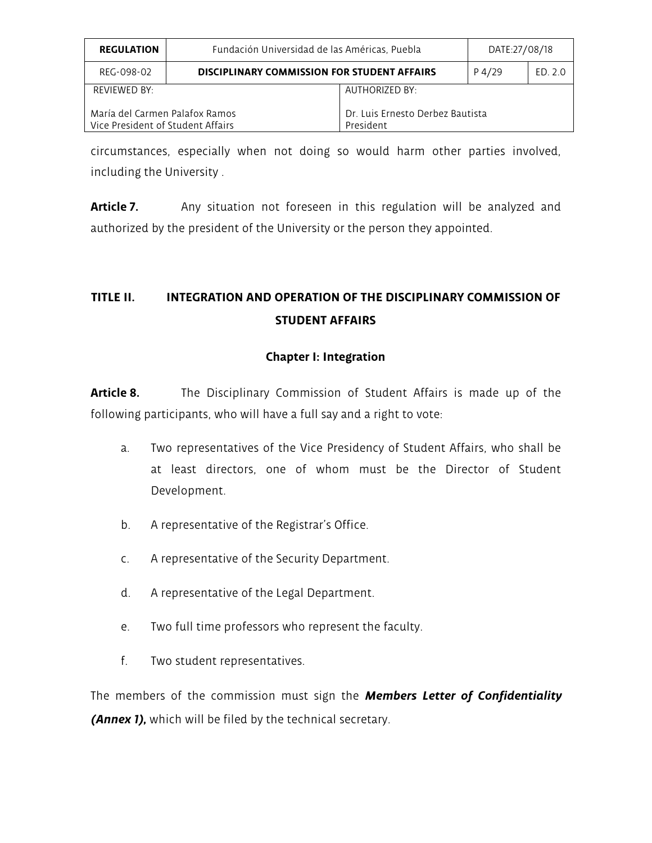| <b>REGULATION</b>                                                   | Fundación Universidad de las Américas, Puebla      |                                               | DATE:27/08/18 |         |
|---------------------------------------------------------------------|----------------------------------------------------|-----------------------------------------------|---------------|---------|
| REG-098-02                                                          | <b>DISCIPLINARY COMMISSION FOR STUDENT AFFAIRS</b> |                                               | $P$ 4/29      | ED. 2.0 |
| REVIEWED BY:                                                        |                                                    | AUTHORIZED BY:                                |               |         |
| María del Carmen Palafox Ramos<br>Vice President of Student Affairs |                                                    | Dr. Luis Ernesto Derbez Bautista<br>President |               |         |

circumstances, especially when not doing so would harm other parties involved, including the University .

**Article 7.** Any situation not foreseen in this regulation will be analyzed and authorized by the president of the University or the person they appointed.

# **TITLE II. INTEGRATION AND OPERATION OF THE DISCIPLINARY COMMISSION OF STUDENT AFFAIRS**

## **Chapter I: Integration**

**Article 8.** The Disciplinary Commission of Student Affairs is made up of the following participants, who will have a full say and a right to vote:

- a. Two representatives of the Vice Presidency of Student Affairs, who shall be at least directors, one of whom must be the Director of Student Development.
- b. A representative of the Registrar's Office.
- c. A representative of the Security Department.
- d. A representative of the Legal Department.
- e. Two full time professors who represent the faculty.
- f. Two student representatives.

The members of the commission must sign the *Members Letter of Confidentiality (Annex 1)***,** which will be filed by the technical secretary.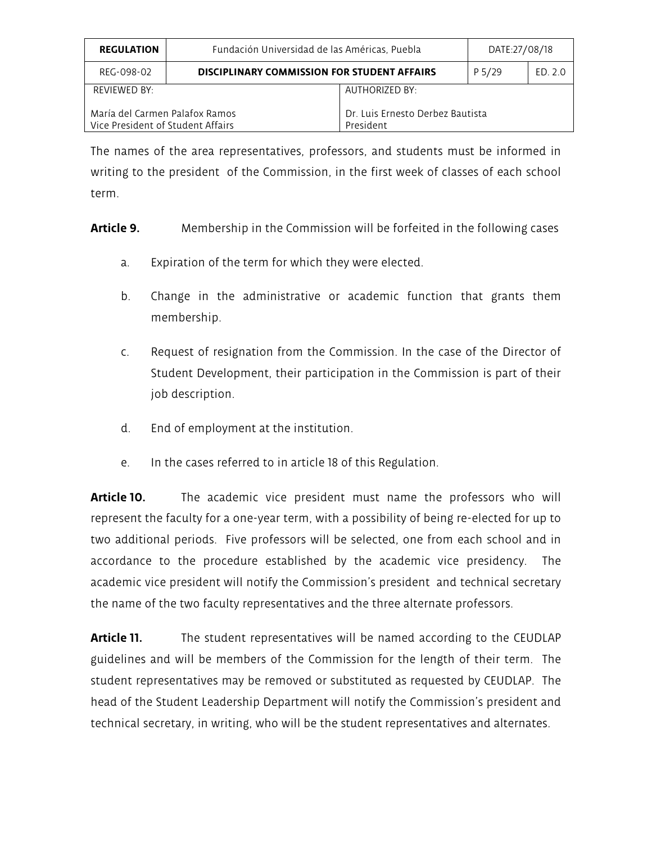| <b>REGULATION</b>                                                   | Fundación Universidad de las Américas, Puebla |                                                              | DATE:27/08/18 |         |
|---------------------------------------------------------------------|-----------------------------------------------|--------------------------------------------------------------|---------------|---------|
| REG-098-02                                                          |                                               | P 5/29<br><b>DISCIPLINARY COMMISSION FOR STUDENT AFFAIRS</b> |               | ED. 2.0 |
| REVIEWED BY:                                                        |                                               | AUTHORIZED BY·                                               |               |         |
| María del Carmen Palafox Ramos<br>Vice President of Student Affairs |                                               | Dr. Luis Ernesto Derbez Bautista<br>President                |               |         |

The names of the area representatives, professors, and students must be informed in writing to the president of the Commission, in the first week of classes of each school term.

**Article 9.** Membership in the Commission will be forfeited in the following cases

- a. Expiration of the term for which they were elected.
- b. Change in the administrative or academic function that grants them membership.
- c. Request of resignation from the Commission. In the case of the Director of Student Development, their participation in the Commission is part of their job description.
- d. End of employment at the institution.
- e. In the cases referred to in article 18 of this Regulation.

**Article 10.** The academic vice president must name the professors who will represent the faculty for a one-year term, with a possibility of being re-elected for up to two additional periods. Five professors will be selected, one from each school and in accordance to the procedure established by the academic vice presidency. The academic vice president will notify the Commission's president and technical secretary the name of the two faculty representatives and the three alternate professors.

**Article 11.** The student representatives will be named according to the CEUDLAP guidelines and will be members of the Commission for the length of their term. The student representatives may be removed or substituted as requested by CEUDLAP. The head of the Student Leadership Department will notify the Commission's president and technical secretary, in writing, who will be the student representatives and alternates.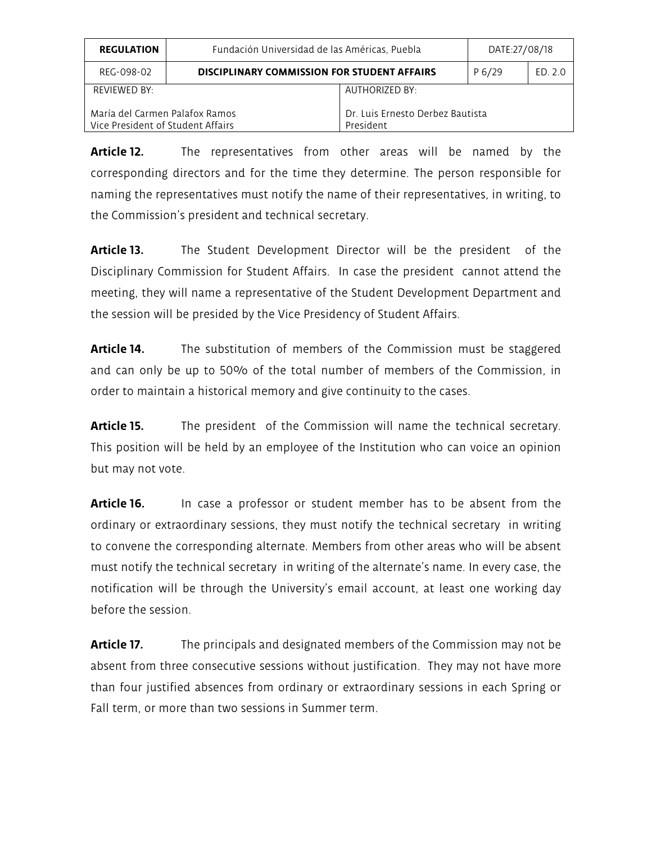| <b>REGULATION</b>                                                   | Fundación Universidad de las Américas, Puebla |                                                                | DATE:27/08/18 |         |
|---------------------------------------------------------------------|-----------------------------------------------|----------------------------------------------------------------|---------------|---------|
| REG-098-02                                                          |                                               | <b>DISCIPLINARY COMMISSION FOR STUDENT AFFAIRS</b><br>$P$ 6/29 |               | ED. 2.0 |
| REVIEWED BY:                                                        |                                               | <b>AUTHORIZED BY:</b>                                          |               |         |
| María del Carmen Palafox Ramos<br>Vice President of Student Affairs |                                               | Dr. Luis Ernesto Derbez Bautista<br>President                  |               |         |

**Article 12.** The representatives from other areas will be named by the corresponding directors and for the time they determine. The person responsible for naming the representatives must notify the name of their representatives, in writing, to the Commission's president and technical secretary.

**Article 13.** The Student Development Director will be the president of the Disciplinary Commission for Student Affairs. In case the president cannot attend the meeting, they will name a representative of the Student Development Department and the session will be presided by the Vice Presidency of Student Affairs.

Article 14. The substitution of members of the Commission must be staggered and can only be up to 50% of the total number of members of the Commission, in order to maintain a historical memory and give continuity to the cases.

**Article 15.** The president of the Commission will name the technical secretary. This position will be held by an employee of the Institution who can voice an opinion but may not vote.

**Article 16.** In case a professor or student member has to be absent from the ordinary or extraordinary sessions, they must notify the technical secretary in writing to convene the corresponding alternate. Members from other areas who will be absent must notify the technical secretary in writing of the alternate's name. In every case, the notification will be through the University's email account, at least one working day before the session.

**Article 17.** The principals and designated members of the Commission may not be absent from three consecutive sessions without justification. They may not have more than four justified absences from ordinary or extraordinary sessions in each Spring or Fall term, or more than two sessions in Summer term.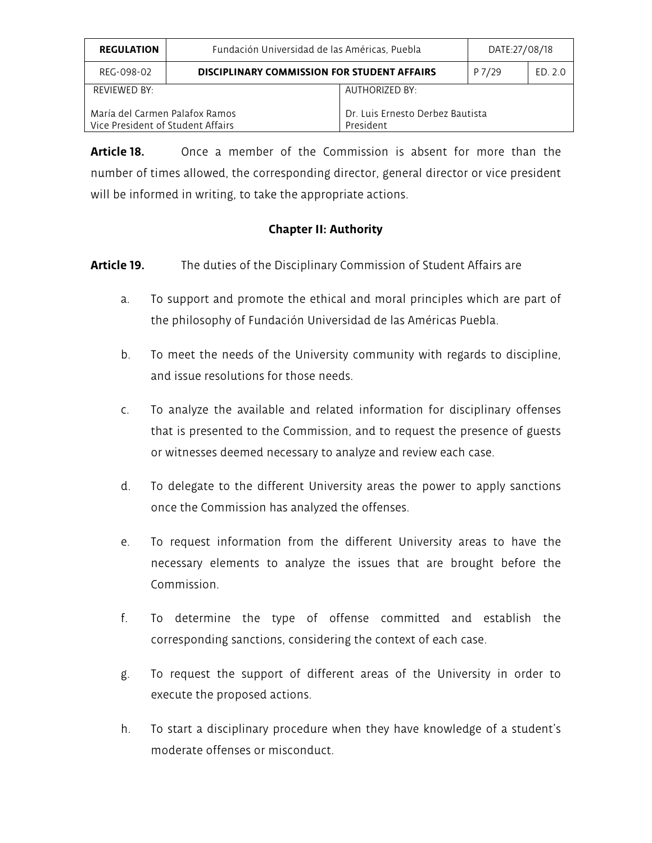| <b>REGULATION</b>                                                   | Fundación Universidad de las Américas, Puebla |                                               | DATE:27/08/18 |         |
|---------------------------------------------------------------------|-----------------------------------------------|-----------------------------------------------|---------------|---------|
| REG-098-02                                                          | DISCIPLINARY COMMISSION FOR STUDENT AFFAIRS   |                                               | P 7/29        | ED. 2.0 |
| REVIEWED BY:                                                        |                                               | AUTHORIZED BY:                                |               |         |
| María del Carmen Palafox Ramos<br>Vice President of Student Affairs |                                               | Dr. Luis Ernesto Derbez Bautista<br>President |               |         |

**Article 18.** Once a member of the Commission is absent for more than the number of times allowed, the corresponding director, general director or vice president will be informed in writing, to take the appropriate actions.

# **Chapter II: Authority**

**Article 19.** The duties of the Disciplinary Commission of Student Affairs are

- a. To support and promote the ethical and moral principles which are part of the philosophy of Fundación Universidad de las Américas Puebla.
- b. To meet the needs of the University community with regards to discipline, and issue resolutions for those needs.
- c. To analyze the available and related information for disciplinary offenses that is presented to the Commission, and to request the presence of guests or witnesses deemed necessary to analyze and review each case.
- d. To delegate to the different University areas the power to apply sanctions once the Commission has analyzed the offenses.
- e. To request information from the different University areas to have the necessary elements to analyze the issues that are brought before the Commission.
- f. To determine the type of offense committed and establish the corresponding sanctions, considering the context of each case.
- g. To request the support of different areas of the University in order to execute the proposed actions.
- h. To start a disciplinary procedure when they have knowledge of a student's moderate offenses or misconduct.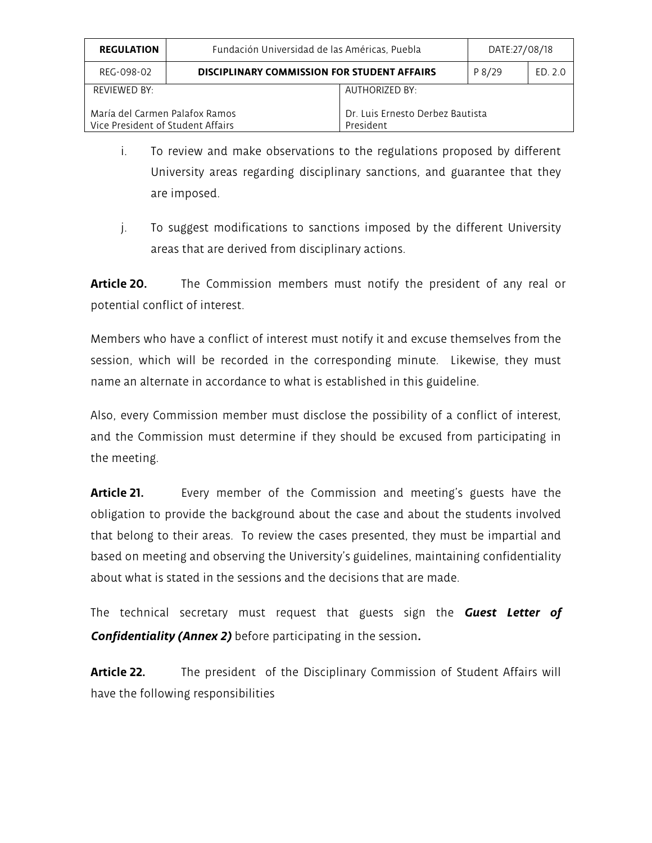| <b>REGULATION</b>                                                   | Fundación Universidad de las Américas, Puebla      |                                               | DATE:27/08/18 |         |
|---------------------------------------------------------------------|----------------------------------------------------|-----------------------------------------------|---------------|---------|
| REG-098-02                                                          | <b>DISCIPLINARY COMMISSION FOR STUDENT AFFAIRS</b> |                                               | P 8/29        | ED. 2.0 |
| REVIEWED BY:                                                        |                                                    | <b>AUTHORIZED BY:</b>                         |               |         |
| María del Carmen Palafox Ramos<br>Vice President of Student Affairs |                                                    | Dr. Luis Ernesto Derbez Bautista<br>President |               |         |

- i. To review and make observations to the regulations proposed by different University areas regarding disciplinary sanctions, and guarantee that they are imposed.
- j. To suggest modifications to sanctions imposed by the different University areas that are derived from disciplinary actions.

**Article 20.** The Commission members must notify the president of any real or potential conflict of interest.

Members who have a conflict of interest must notify it and excuse themselves from the session, which will be recorded in the corresponding minute. Likewise, they must name an alternate in accordance to what is established in this guideline.

Also, every Commission member must disclose the possibility of a conflict of interest, and the Commission must determine if they should be excused from participating in the meeting.

**Article 21.** Every member of the Commission and meeting's guests have the obligation to provide the background about the case and about the students involved that belong to their areas. To review the cases presented, they must be impartial and based on meeting and observing the University's guidelines, maintaining confidentiality about what is stated in the sessions and the decisions that are made.

The technical secretary must request that guests sign the *Guest Letter of Confidentiality (Annex 2)* before participating in the session*.*

**Article 22.** The president of the Disciplinary Commission of Student Affairs will have the following responsibilities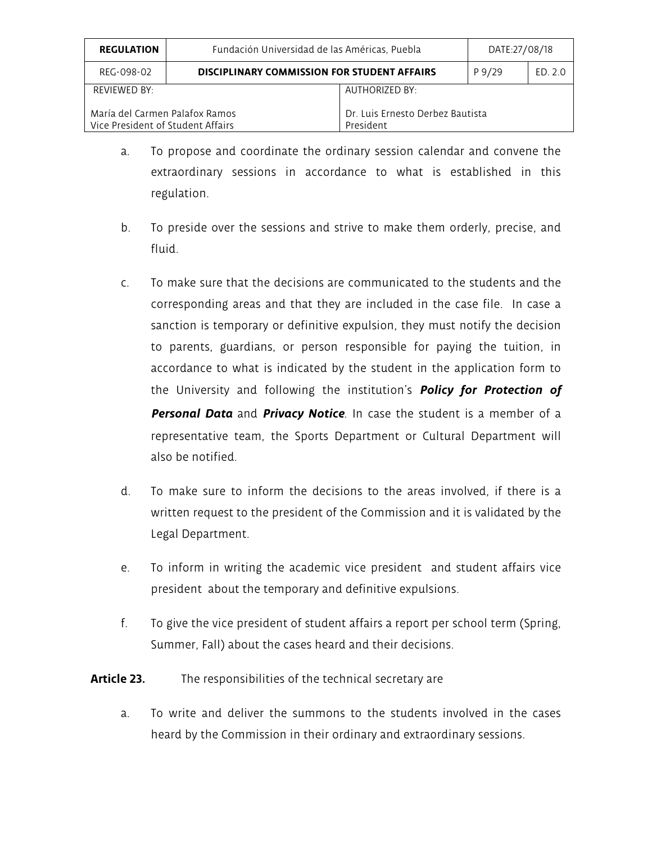| <b>REGULATION</b>                                                   | Fundación Universidad de las Américas, Puebla |                                               | DATE:27/08/18 |         |
|---------------------------------------------------------------------|-----------------------------------------------|-----------------------------------------------|---------------|---------|
| REG-098-02                                                          | DISCIPLINARY COMMISSION FOR STUDENT AFFAIRS   |                                               | P9/29         | ED. 2.0 |
| REVIEWED BY:                                                        |                                               | <b>AUTHORIZED BY:</b>                         |               |         |
| María del Carmen Palafox Ramos<br>Vice President of Student Affairs |                                               | Dr. Luis Ernesto Derbez Bautista<br>President |               |         |

- a. To propose and coordinate the ordinary session calendar and convene the extraordinary sessions in accordance to what is established in this regulation.
- b. To preside over the sessions and strive to make them orderly, precise, and fluid.
- c. To make sure that the decisions are communicated to the students and the corresponding areas and that they are included in the case file. In case a sanction is temporary or definitive expulsion, they must notify the decision to parents, guardians, or person responsible for paying the tuition, in accordance to what is indicated by the student in the application form to the University and following the institution's *Policy for Protection of Personal Data* and *Privacy Notice*. In case the student is a member of a representative team, the Sports Department or Cultural Department will also be notified.
- d. To make sure to inform the decisions to the areas involved, if there is a written request to the president of the Commission and it is validated by the Legal Department.
- e. To inform in writing the academic vice president and student affairs vice president about the temporary and definitive expulsions.
- f. To give the vice president of student affairs a report per school term (Spring, Summer, Fall) about the cases heard and their decisions.
- **Article 23.** The responsibilities of the technical secretary are
	- a. To write and deliver the summons to the students involved in the cases heard by the Commission in their ordinary and extraordinary sessions.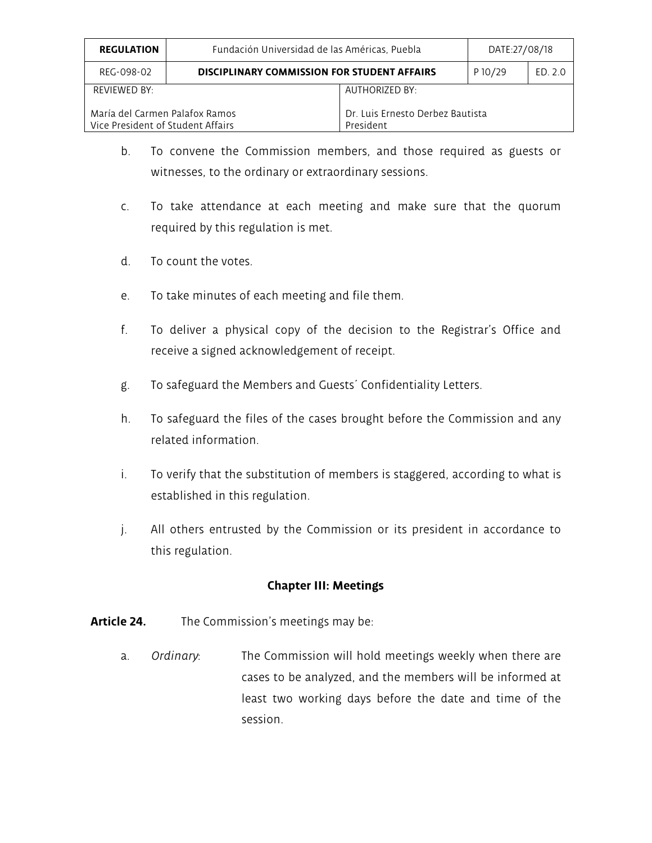| <b>REGULATION</b>                                                   | Fundación Universidad de las Américas, Puebla      |                                               | DATE:27/08/18 |         |
|---------------------------------------------------------------------|----------------------------------------------------|-----------------------------------------------|---------------|---------|
| REG-098-02                                                          | <b>DISCIPLINARY COMMISSION FOR STUDENT AFFAIRS</b> |                                               | P 10/29       | ED. 2.0 |
| REVIEWED BY:                                                        |                                                    | AUTHORIZED BY·                                |               |         |
| María del Carmen Palafox Ramos<br>Vice President of Student Affairs |                                                    | Dr. Luis Ernesto Derbez Bautista<br>President |               |         |

- b. To convene the Commission members, and those required as guests or witnesses, to the ordinary or extraordinary sessions.
- c. To take attendance at each meeting and make sure that the quorum required by this regulation is met.
- d. To count the votes.
- e. To take minutes of each meeting and file them.
- f. To deliver a physical copy of the decision to the Registrar's Office and receive a signed acknowledgement of receipt.
- g. To safeguard the Members and Guests´ Confidentiality Letters.
- h. To safeguard the files of the cases brought before the Commission and any related information.
- i. To verify that the substitution of members is staggered, according to what is established in this regulation.
- j. All others entrusted by the Commission or its president in accordance to this regulation.

### **Chapter III: Meetings**

### **Article 24.** The Commission's meetings may be:

a. *Ordinary*: The Commission will hold meetings weekly when there are cases to be analyzed, and the members will be informed at least two working days before the date and time of the session.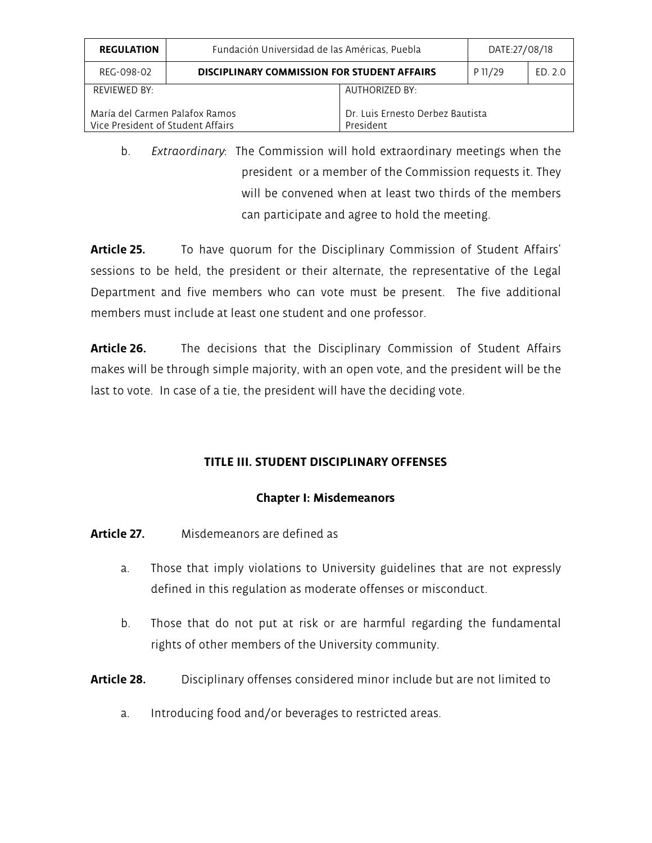| <b>REGULATION</b>                                                   | Fundación Universidad de las Américas, Puebla |                                               | DATE:27/08/18 |            |
|---------------------------------------------------------------------|-----------------------------------------------|-----------------------------------------------|---------------|------------|
| REG-098-02                                                          | DISCIPLINARY COMMISSION FOR STUDENT AFFAIRS   |                                               | P 11/29       | $FD$ 2 $O$ |
| REVIEWED BY.                                                        |                                               | <b>AUTHORIZED BY:</b>                         |               |            |
| María del Carmen Palafox Ramos<br>Vice President of Student Affairs |                                               | Dr. Luis Ernesto Derbez Bautista<br>President |               |            |

b. *Extraordinary*: The Commission will hold extraordinary meetings when the president or a member of the Commission requests it. They will be convened when at least two thirds of the members can participate and agree to hold the meeting.

**Article 25.** To have quorum for the Disciplinary Commission of Student Affairs' sessions to be held, the president or their alternate, the representative of the Legal Department and five members who can vote must be present. The five additional members must include at least one student and one professor.

**Article 26.** The decisions that the Disciplinary Commission of Student Affairs makes will be through simple majority, with an open vote, and the president will be the last to vote. In case of a tie, the president will have the deciding vote.

# **TITLE III. STUDENT DISCIPLINARY OFFENSES**

# **Chapter I: Misdemeanors**

- **Article 27.** Misdemeanors are defined as
	- a. Those that imply violations to University guidelines that are not expressly defined in this regulation as moderate offenses or misconduct.
	- b. Those that do not put at risk or are harmful regarding the fundamental rights of other members of the University community.
- **Article 28.** Disciplinary offenses considered minor include but are not limited to
	- a. Introducing food and/or beverages to restricted areas.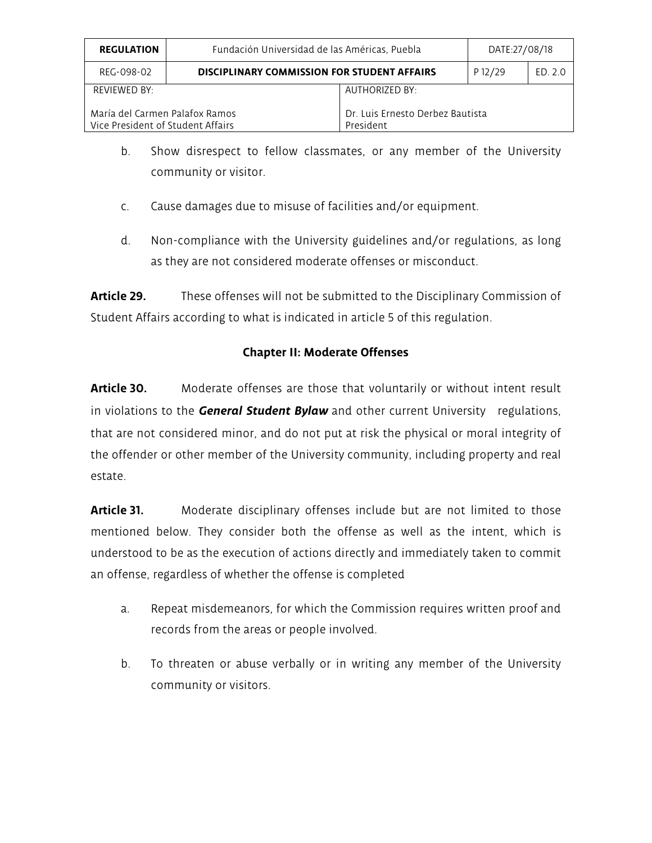| <b>REGULATION</b>                                                   | Fundación Universidad de las Américas, Puebla |                                               | DATE:27/08/18 |         |
|---------------------------------------------------------------------|-----------------------------------------------|-----------------------------------------------|---------------|---------|
| REG-098-02                                                          | DISCIPLINARY COMMISSION FOR STUDENT AFFAIRS   |                                               | P 12/29       | ED. 2.0 |
| REVIEWED BY.                                                        |                                               | AUTHORIZED BY:                                |               |         |
| María del Carmen Palafox Ramos<br>Vice President of Student Affairs |                                               | Dr. Luis Ernesto Derbez Bautista<br>President |               |         |

- b. Show disrespect to fellow classmates, or any member of the University community or visitor.
- c. Cause damages due to misuse of facilities and/or equipment.
- d. Non-compliance with the University guidelines and/or regulations, as long as they are not considered moderate offenses or misconduct.

**Article 29.** These offenses will not be submitted to the Disciplinary Commission of Student Affairs according to what is indicated in article 5 of this regulation.

# **Chapter II: Moderate Offenses**

**Article 30.** Moderate offenses are those that voluntarily or without intent result in violations to the *General Student Bylaw* and other current University regulations, that are not considered minor, and do not put at risk the physical or moral integrity of the offender or other member of the University community, including property and real estate.

**Article 31.** Moderate disciplinary offenses include but are not limited to those mentioned below. They consider both the offense as well as the intent, which is understood to be as the execution of actions directly and immediately taken to commit an offense, regardless of whether the offense is completed

- a. Repeat misdemeanors, for which the Commission requires written proof and records from the areas or people involved.
- b. To threaten or abuse verbally or in writing any member of the University community or visitors.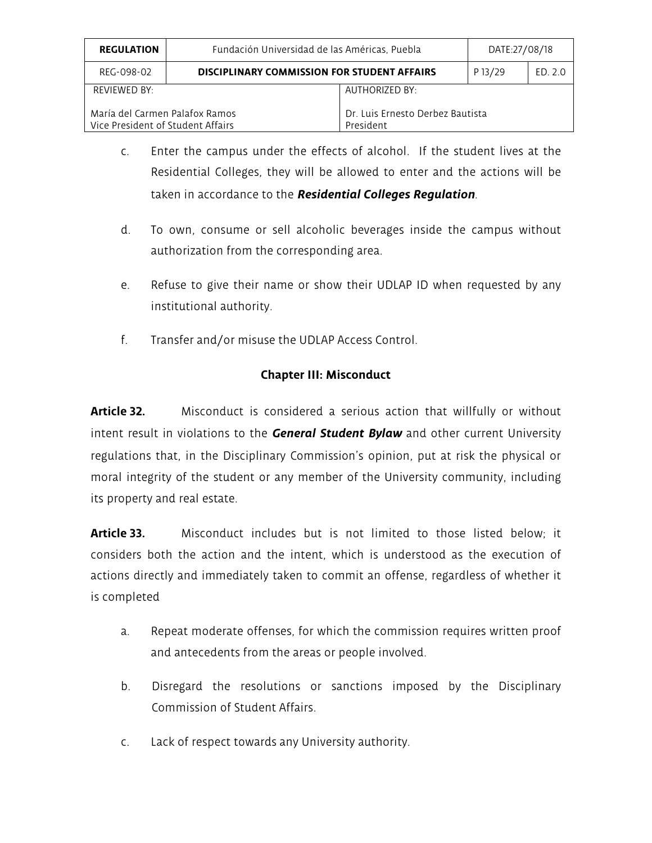| <b>REGULATION</b>                                                   | Fundación Universidad de las Américas, Puebla |                                               | DATE:27/08/18 |         |
|---------------------------------------------------------------------|-----------------------------------------------|-----------------------------------------------|---------------|---------|
| REG-098-02                                                          | DISCIPLINARY COMMISSION FOR STUDENT AFFAIRS   |                                               | P 13/29       | ED. 2.0 |
| REVIEWED BY:                                                        |                                               | <b>AUTHORIZED BY:</b>                         |               |         |
| María del Carmen Palafox Ramos<br>Vice President of Student Affairs |                                               | Dr. Luis Ernesto Derbez Bautista<br>President |               |         |

- c. Enter the campus under the effects of alcohol. If the student lives at the Residential Colleges, they will be allowed to enter and the actions will be taken in accordance to the *Residential Colleges Regulation*.
- d. To own, consume or sell alcoholic beverages inside the campus without authorization from the corresponding area.
- e. Refuse to give their name or show their UDLAP ID when requested by any institutional authority.
- f. Transfer and/or misuse the UDLAP Access Control.

# **Chapter III: Misconduct**

**Article 32.** Misconduct is considered a serious action that willfully or without intent result in violations to the *General Student Bylaw* and other current University regulations that, in the Disciplinary Commission's opinion, put at risk the physical or moral integrity of the student or any member of the University community, including its property and real estate.

**Article 33.** Misconduct includes but is not limited to those listed below; it considers both the action and the intent, which is understood as the execution of actions directly and immediately taken to commit an offense, regardless of whether it is completed

- a. Repeat moderate offenses, for which the commission requires written proof and antecedents from the areas or people involved.
- b. Disregard the resolutions or sanctions imposed by the Disciplinary Commission of Student Affairs.
- c. Lack of respect towards any University authority.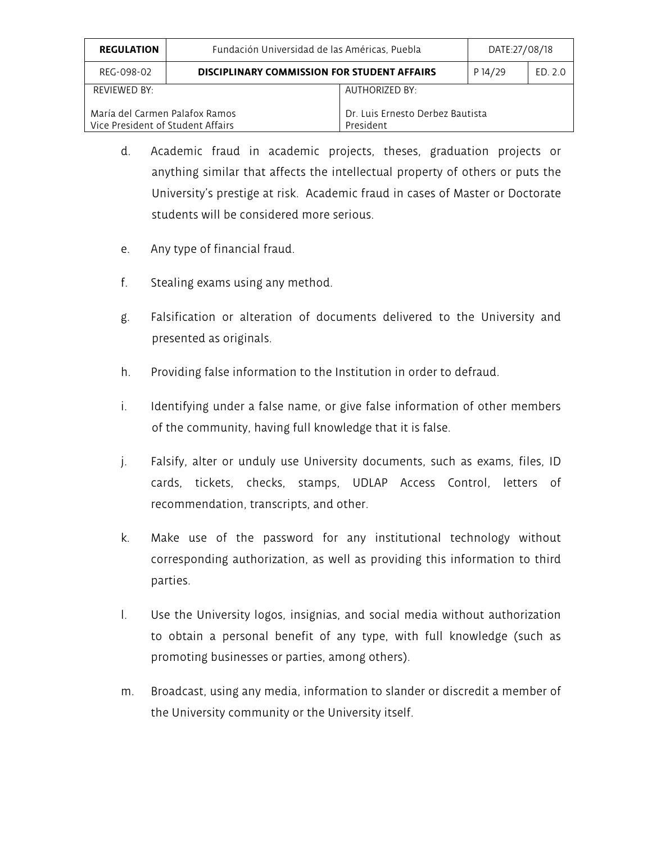| <b>REGULATION</b>                                                   | Fundación Universidad de las Américas, Puebla |                                               | DATE:27/08/18 |         |
|---------------------------------------------------------------------|-----------------------------------------------|-----------------------------------------------|---------------|---------|
| REG-098-02                                                          | DISCIPLINARY COMMISSION FOR STUDENT AFFAIRS   |                                               | P 14/29       | ED. 2.0 |
| REVIEWED BY:                                                        |                                               | <b>AUTHORIZED BY:</b>                         |               |         |
| María del Carmen Palafox Ramos<br>Vice President of Student Affairs |                                               | Dr. Luis Ernesto Derbez Bautista<br>President |               |         |

- d. Academic fraud in academic projects, theses, graduation projects or anything similar that affects the intellectual property of others or puts the University's prestige at risk. Academic fraud in cases of Master or Doctorate students will be considered more serious.
- e. Any type of financial fraud.
- f. Stealing exams using any method.
- g. Falsification or alteration of documents delivered to the University and presented as originals.
- h. Providing false information to the Institution in order to defraud.
- i. Identifying under a false name, or give false information of other members of the community, having full knowledge that it is false.
- j. Falsify, alter or unduly use University documents, such as exams, files, ID cards, tickets, checks, stamps, UDLAP Access Control, letters of recommendation, transcripts, and other.
- k. Make use of the password for any institutional technology without corresponding authorization, as well as providing this information to third parties.
- l. Use the University logos, insignias, and social media without authorization to obtain a personal benefit of any type, with full knowledge (such as promoting businesses or parties, among others).
- m. Broadcast, using any media, information to slander or discredit a member of the University community or the University itself.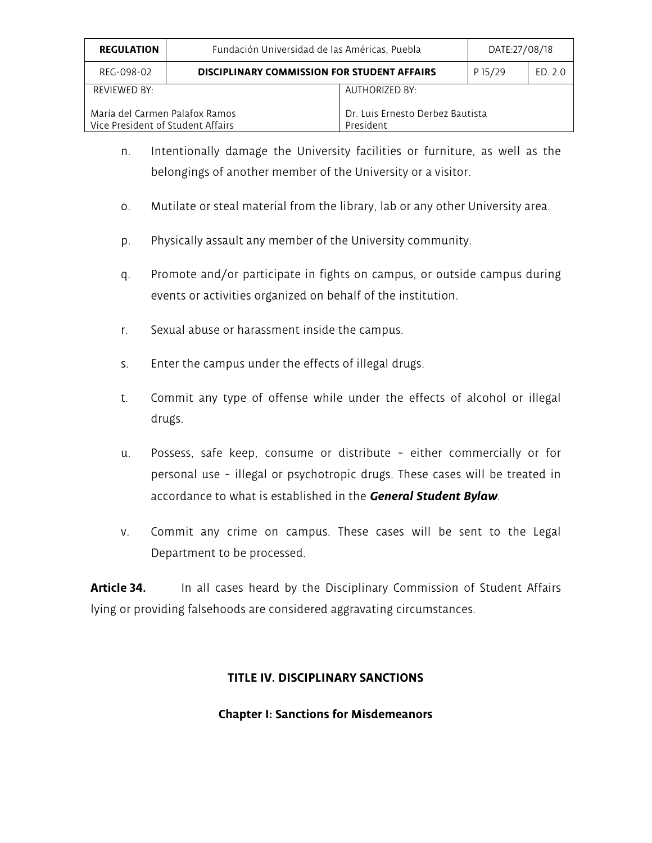| <b>REGULATION</b>                                                   | Fundación Universidad de las Américas, Puebla      |                                               | DATE:27/08/18 |         |
|---------------------------------------------------------------------|----------------------------------------------------|-----------------------------------------------|---------------|---------|
| REG-098-02                                                          | <b>DISCIPLINARY COMMISSION FOR STUDENT AFFAIRS</b> |                                               | P 15/29       | ED. 2.0 |
| REVIEWED BY:                                                        |                                                    | AUTHORIZED BY:                                |               |         |
| María del Carmen Palafox Ramos<br>Vice President of Student Affairs |                                                    | Dr. Luis Ernesto Derbez Bautista<br>President |               |         |

- n. Intentionally damage the University facilities or furniture, as well as the belongings of another member of the University or a visitor.
- o. Mutilate or steal material from the library, lab or any other University area.
- p. Physically assault any member of the University community.
- q. Promote and/or participate in fights on campus, or outside campus during events or activities organized on behalf of the institution.
- r. Sexual abuse or harassment inside the campus.
- s. Enter the campus under the effects of illegal drugs.
- t. Commit any type of offense while under the effects of alcohol or illegal drugs.
- u. Possess, safe keep, consume or distribute either commercially or for personal use – illegal or psychotropic drugs. These cases will be treated in accordance to what is established in the *General Student Bylaw*.
- v. Commit any crime on campus. These cases will be sent to the Legal Department to be processed.

**Article 34.** In all cases heard by the Disciplinary Commission of Student Affairs lying or providing falsehoods are considered aggravating circumstances.

### **TITLE IV. DISCIPLINARY SANCTIONS**

### **Chapter I: Sanctions for Misdemeanors**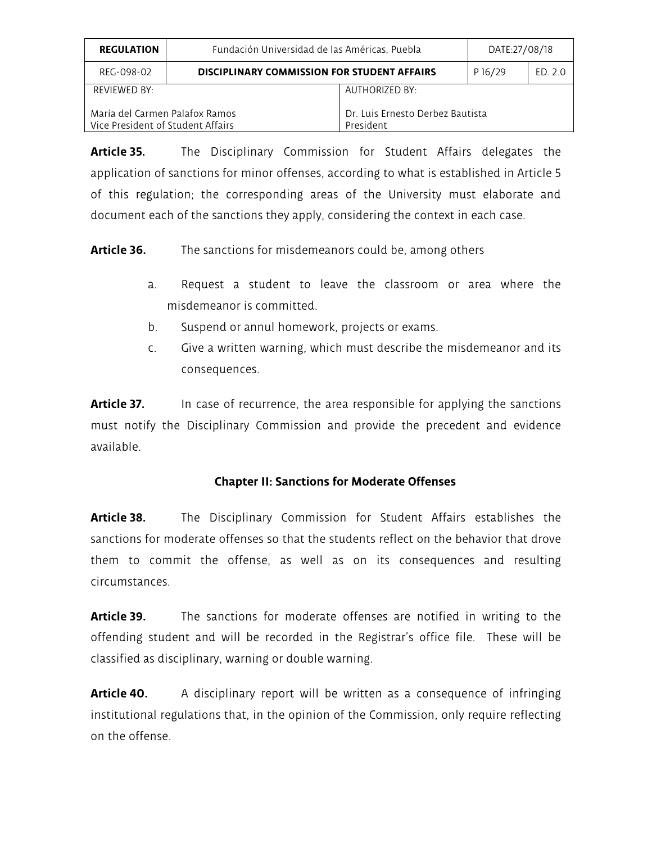| <b>REGULATION</b>                                                   | Fundación Universidad de las Américas, Puebla |                                               | DATE:27/08/18 |         |
|---------------------------------------------------------------------|-----------------------------------------------|-----------------------------------------------|---------------|---------|
| REG-098-02                                                          | DISCIPLINARY COMMISSION FOR STUDENT AFFAIRS   |                                               | P 16/29       | ED. 2.0 |
| REVIEWED BY:                                                        |                                               | AUTHORIZED BY:                                |               |         |
| María del Carmen Palafox Ramos<br>Vice President of Student Affairs |                                               | Dr. Luis Ernesto Derbez Bautista<br>President |               |         |

**Article 35.** The Disciplinary Commission for Student Affairs delegates the application of sanctions for minor offenses, according to what is established in Article 5 of this regulation; the corresponding areas of the University must elaborate and document each of the sanctions they apply, considering the context in each case.

**Article 36.** The sanctions for misdemeanors could be, among others

- a. Request a student to leave the classroom or area where the misdemeanor is committed.
- b. Suspend or annul homework, projects or exams.
- c. Give a written warning, which must describe the misdemeanor and its consequences.

**Article 37.** In case of recurrence, the area responsible for applying the sanctions must notify the Disciplinary Commission and provide the precedent and evidence available.

# **Chapter II: Sanctions for Moderate Offenses**

**Article 38.** The Disciplinary Commission for Student Affairs establishes the sanctions for moderate offenses so that the students reflect on the behavior that drove them to commit the offense, as well as on its consequences and resulting circumstances.

**Article 39.** The sanctions for moderate offenses are notified in writing to the offending student and will be recorded in the Registrar's office file. These will be classified as disciplinary, warning or double warning.

**Article 40.** A disciplinary report will be written as a consequence of infringing institutional regulations that, in the opinion of the Commission, only require reflecting on the offense.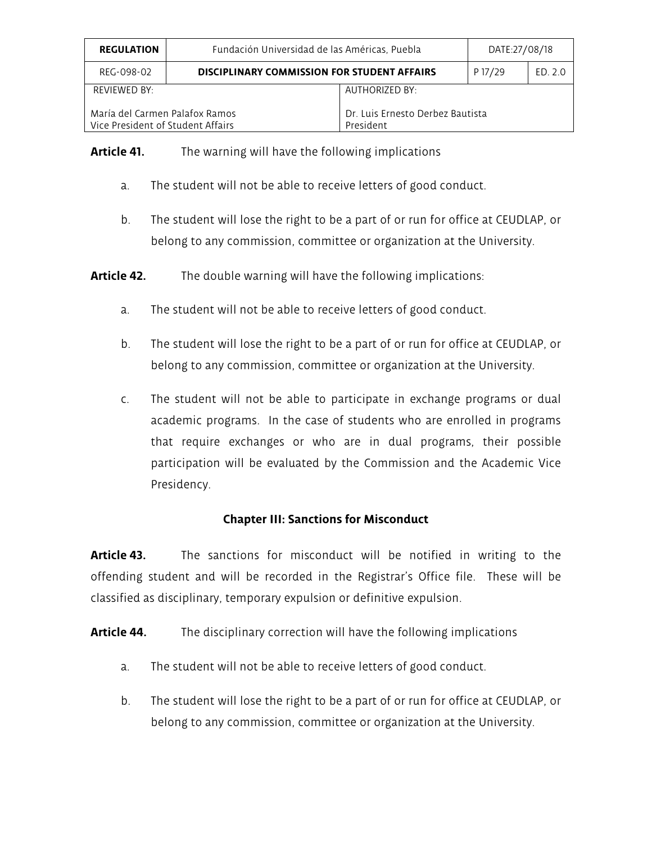| <b>REGULATION</b>                                                   | Fundación Universidad de las Américas, Puebla |                                               | DATE:27/08/18 |         |
|---------------------------------------------------------------------|-----------------------------------------------|-----------------------------------------------|---------------|---------|
| REG-098-02                                                          | DISCIPLINARY COMMISSION FOR STUDENT AFFAIRS   |                                               | P 17/29       | ED. 2.0 |
| REVIEWED BY:                                                        |                                               | <b>AUTHORIZED BY:</b>                         |               |         |
| María del Carmen Palafox Ramos<br>Vice President of Student Affairs |                                               | Dr. Luis Ernesto Derbez Bautista<br>President |               |         |

**Article 41.** The warning will have the following implications

- a. The student will not be able to receive letters of good conduct.
- b. The student will lose the right to be a part of or run for office at CEUDLAP, or belong to any commission, committee or organization at the University.

**Article 42.** The double warning will have the following implications:

- a. The student will not be able to receive letters of good conduct.
- b. The student will lose the right to be a part of or run for office at CEUDLAP, or belong to any commission, committee or organization at the University.
- c. The student will not be able to participate in exchange programs or dual academic programs. In the case of students who are enrolled in programs that require exchanges or who are in dual programs, their possible participation will be evaluated by the Commission and the Academic Vice Presidency.

### **Chapter III: Sanctions for Misconduct**

**Article 43.** The sanctions for misconduct will be notified in writing to the offending student and will be recorded in the Registrar's Office file. These will be classified as disciplinary, temporary expulsion or definitive expulsion.

**Article 44.** The disciplinary correction will have the following implications

- a. The student will not be able to receive letters of good conduct.
- b. The student will lose the right to be a part of or run for office at CEUDLAP, or belong to any commission, committee or organization at the University.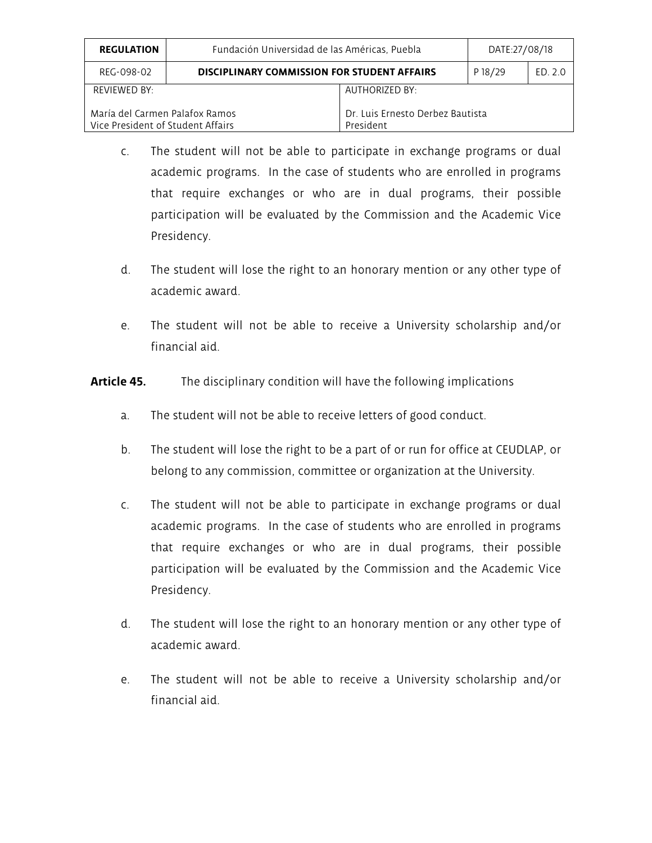| <b>REGULATION</b>                                                   | Fundación Universidad de las Américas, Puebla      |                                               | DATE:27/08/18 |            |
|---------------------------------------------------------------------|----------------------------------------------------|-----------------------------------------------|---------------|------------|
| REG-098-02                                                          | <b>DISCIPLINARY COMMISSION FOR STUDENT AFFAIRS</b> |                                               | P 18/29       | $FD$ 2 $O$ |
| REVIEWED BY:                                                        |                                                    | <b>AUTHORIZED BY:</b>                         |               |            |
| María del Carmen Palafox Ramos<br>Vice President of Student Affairs |                                                    | Dr. Luis Ernesto Derbez Bautista<br>President |               |            |

- c. The student will not be able to participate in exchange programs or dual academic programs. In the case of students who are enrolled in programs that require exchanges or who are in dual programs, their possible participation will be evaluated by the Commission and the Academic Vice Presidency.
- d. The student will lose the right to an honorary mention or any other type of academic award.
- e. The student will not be able to receive a University scholarship and/or financial aid.
- **Article 45.** The disciplinary condition will have the following implications
	- a. The student will not be able to receive letters of good conduct.
	- b. The student will lose the right to be a part of or run for office at CEUDLAP, or belong to any commission, committee or organization at the University.
	- c. The student will not be able to participate in exchange programs or dual academic programs. In the case of students who are enrolled in programs that require exchanges or who are in dual programs, their possible participation will be evaluated by the Commission and the Academic Vice Presidency.
	- d. The student will lose the right to an honorary mention or any other type of academic award.
	- e. The student will not be able to receive a University scholarship and/or financial aid.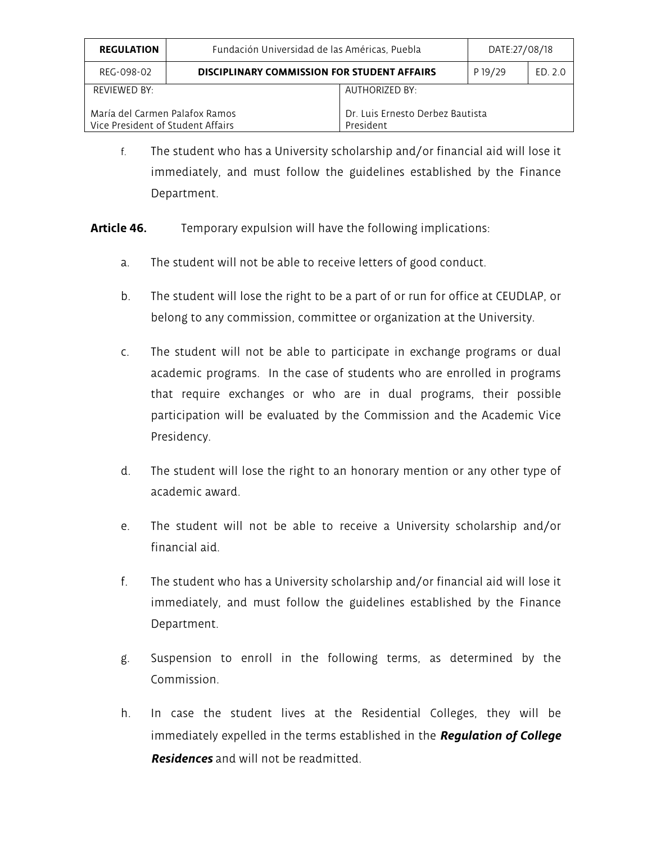| <b>REGULATION</b>                                                   | Fundación Universidad de las Américas, Puebla      |                                               | DATE:27/08/18 |         |
|---------------------------------------------------------------------|----------------------------------------------------|-----------------------------------------------|---------------|---------|
| REG-098-02                                                          | <b>DISCIPLINARY COMMISSION FOR STUDENT AFFAIRS</b> |                                               | P 19/29       | ED. 2.0 |
| REVIEWED BY:                                                        |                                                    | AUTHORIZED BY:                                |               |         |
| María del Carmen Palafox Ramos<br>Vice President of Student Affairs |                                                    | Dr. Luis Ernesto Derbez Bautista<br>President |               |         |

f. The student who has a University scholarship and/or financial aid will lose it immediately, and must follow the guidelines established by the Finance Department.

**Article 46.** Temporary expulsion will have the following implications:

- a. The student will not be able to receive letters of good conduct.
- b. The student will lose the right to be a part of or run for office at CEUDLAP, or belong to any commission, committee or organization at the University.
- c. The student will not be able to participate in exchange programs or dual academic programs. In the case of students who are enrolled in programs that require exchanges or who are in dual programs, their possible participation will be evaluated by the Commission and the Academic Vice Presidency.
- d. The student will lose the right to an honorary mention or any other type of academic award.
- e. The student will not be able to receive a University scholarship and/or financial aid.
- f. The student who has a University scholarship and/or financial aid will lose it immediately, and must follow the guidelines established by the Finance Department.
- g. Suspension to enroll in the following terms, as determined by the Commission.
- h. In case the student lives at the Residential Colleges, they will be immediately expelled in the terms established in the *Regulation of College Residences* and will not be readmitted.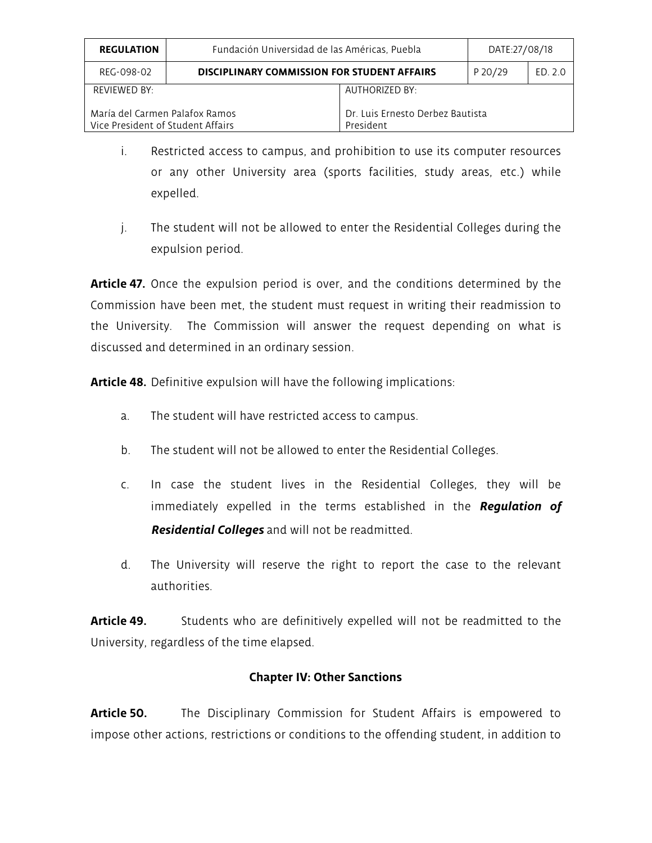| <b>REGULATION</b>                                                   | Fundación Universidad de las Américas, Puebla |                                               | DATE:27/08/18 |         |
|---------------------------------------------------------------------|-----------------------------------------------|-----------------------------------------------|---------------|---------|
| REG-098-02                                                          | DISCIPLINARY COMMISSION FOR STUDENT AFFAIRS   |                                               | P 20/29       | ED. 2.0 |
| REVIEWED BY.                                                        |                                               | <b>AUTHORIZED BY:</b>                         |               |         |
| María del Carmen Palafox Ramos<br>Vice President of Student Affairs |                                               | Dr. Luis Ernesto Derbez Bautista<br>President |               |         |

- i. Restricted access to campus, and prohibition to use its computer resources or any other University area (sports facilities, study areas, etc.) while expelled.
- j. The student will not be allowed to enter the Residential Colleges during the expulsion period.

**Article 47.** Once the expulsion period is over, and the conditions determined by the Commission have been met, the student must request in writing their readmission to the University. The Commission will answer the request depending on what is discussed and determined in an ordinary session.

**Article 48.** Definitive expulsion will have the following implications:

- a. The student will have restricted access to campus.
- b. The student will not be allowed to enter the Residential Colleges.
- c. In case the student lives in the Residential Colleges, they will be immediately expelled in the terms established in the *Regulation of Residential Colleges* and will not be readmitted.
- d. The University will reserve the right to report the case to the relevant authorities.

**Article 49.** Students who are definitively expelled will not be readmitted to the University, regardless of the time elapsed.

### **Chapter IV: Other Sanctions**

**Article 50.** The Disciplinary Commission for Student Affairs is empowered to impose other actions, restrictions or conditions to the offending student, in addition to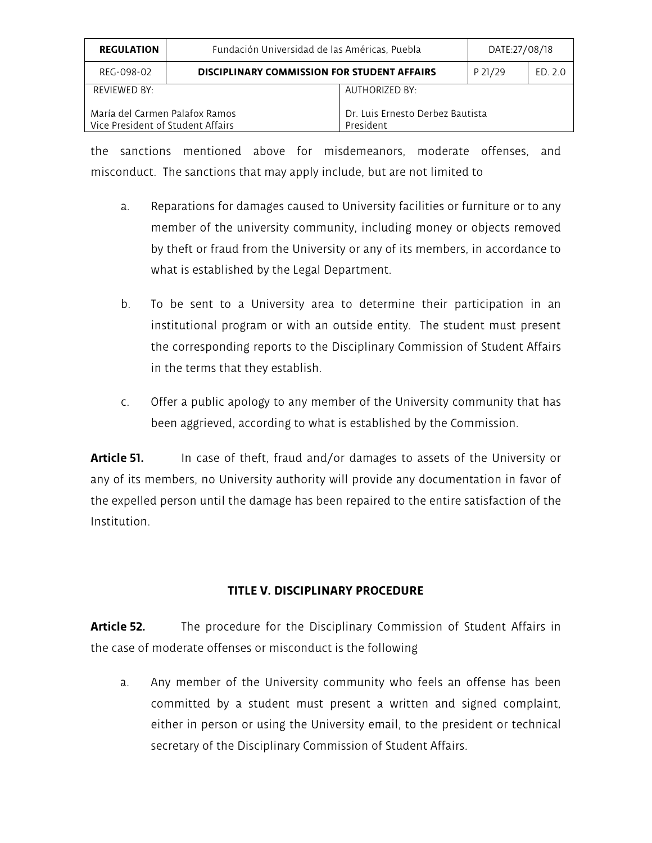| <b>REGULATION</b>                                                   | Fundación Universidad de las Américas, Puebla |                                                               | DATE:27/08/18 |         |
|---------------------------------------------------------------------|-----------------------------------------------|---------------------------------------------------------------|---------------|---------|
| REG-098-02                                                          |                                               | <b>DISCIPLINARY COMMISSION FOR STUDENT AFFAIRS</b><br>P 21/29 |               | $FD$ 20 |
| REVIEWED BY:                                                        |                                               | AUTHORIZED BY:                                                |               |         |
| María del Carmen Palafox Ramos<br>Vice President of Student Affairs |                                               | Dr. Luis Ernesto Derbez Bautista<br>President                 |               |         |

the sanctions mentioned above for misdemeanors, moderate offenses, and misconduct. The sanctions that may apply include, but are not limited to

- a. Reparations for damages caused to University facilities or furniture or to any member of the university community, including money or objects removed by theft or fraud from the University or any of its members, in accordance to what is established by the Legal Department.
- b. To be sent to a University area to determine their participation in an institutional program or with an outside entity. The student must present the corresponding reports to the Disciplinary Commission of Student Affairs in the terms that they establish.
- c. Offer a public apology to any member of the University community that has been aggrieved, according to what is established by the Commission.

**Article 51.** In case of theft, fraud and/or damages to assets of the University or any of its members, no University authority will provide any documentation in favor of the expelled person until the damage has been repaired to the entire satisfaction of the Institution.

# **TITLE V. DISCIPLINARY PROCEDURE**

**Article 52.** The procedure for the Disciplinary Commission of Student Affairs in the case of moderate offenses or misconduct is the following

a. Any member of the University community who feels an offense has been committed by a student must present a written and signed complaint, either in person or using the University email, to the president or technical secretary of the Disciplinary Commission of Student Affairs.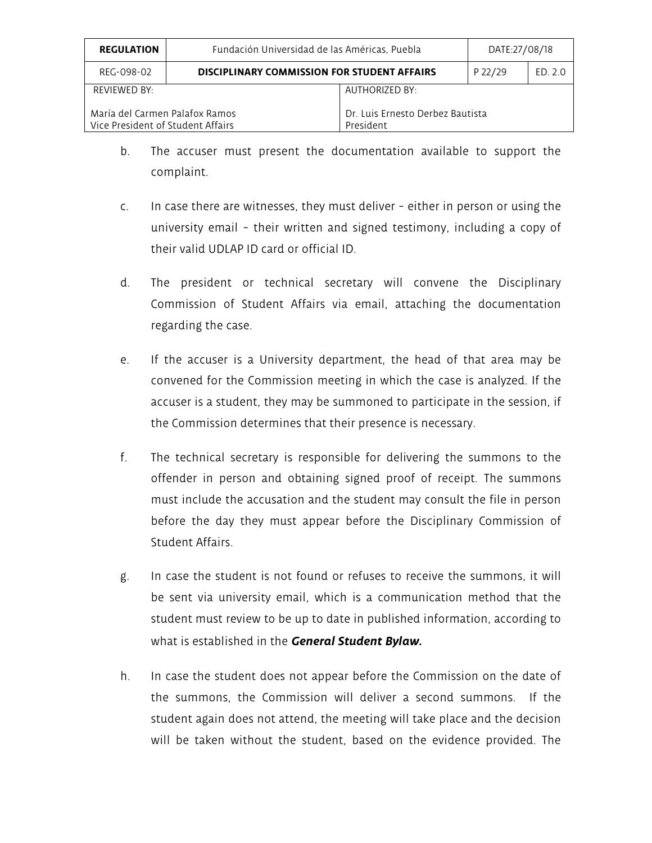| <b>REGULATION</b>                                                   | Fundación Universidad de las Américas, Puebla |                                               | DATE:27/08/18 |         |
|---------------------------------------------------------------------|-----------------------------------------------|-----------------------------------------------|---------------|---------|
| REG-098-02                                                          | DISCIPLINARY COMMISSION FOR STUDENT AFFAIRS   |                                               | P 22/29       | ED. 2.0 |
| REVIEWED BY.                                                        |                                               | <b>AUTHORIZED BY:</b>                         |               |         |
| María del Carmen Palafox Ramos<br>Vice President of Student Affairs |                                               | Dr. Luis Ernesto Derbez Bautista<br>President |               |         |

- b. The accuser must present the documentation available to support the complaint.
- c. In case there are witnesses, they must deliver either in person or using the university email – their written and signed testimony, including a copy of their valid UDLAP ID card or official ID.
- d. The president or technical secretary will convene the Disciplinary Commission of Student Affairs via email, attaching the documentation regarding the case.
- e. If the accuser is a University department, the head of that area may be convened for the Commission meeting in which the case is analyzed. If the accuser is a student, they may be summoned to participate in the session, if the Commission determines that their presence is necessary.
- f. The technical secretary is responsible for delivering the summons to the offender in person and obtaining signed proof of receipt. The summons must include the accusation and the student may consult the file in person before the day they must appear before the Disciplinary Commission of Student Affairs.
- g. In case the student is not found or refuses to receive the summons, it will be sent via university email, which is a communication method that the student must review to be up to date in published information, according to what is established in the *General Student Bylaw.*
- h. In case the student does not appear before the Commission on the date of the summons, the Commission will deliver a second summons. If the student again does not attend, the meeting will take place and the decision will be taken without the student, based on the evidence provided. The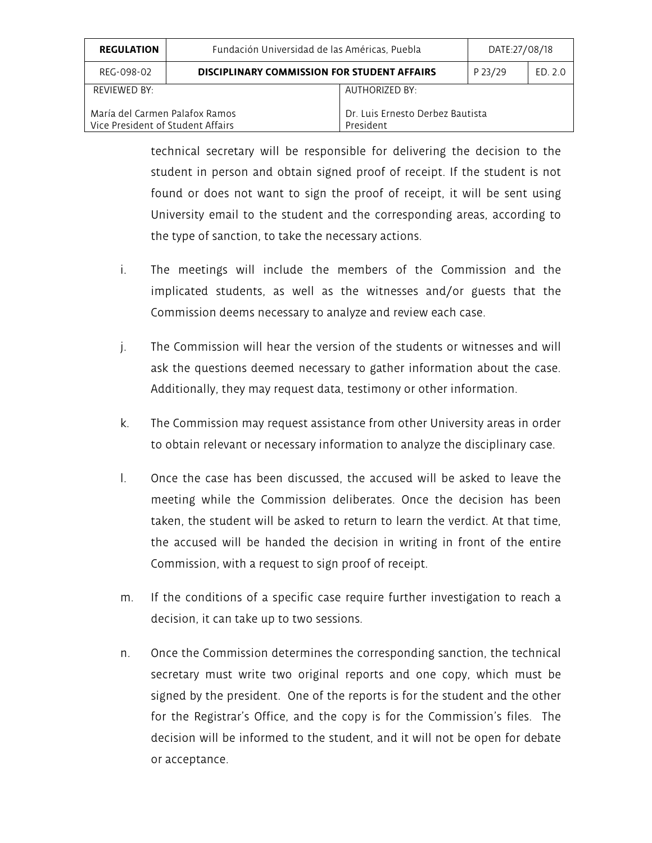| <b>REGULATION</b>                                                   | Fundación Universidad de las Américas, Puebla |                                               | DATE:27/08/18 |         |
|---------------------------------------------------------------------|-----------------------------------------------|-----------------------------------------------|---------------|---------|
| REG-098-02                                                          | DISCIPLINARY COMMISSION FOR STUDENT AFFAIRS   |                                               | P 23/29       | ED. 2.0 |
| REVIEWED BY:                                                        |                                               | AUTHORIZED BY:                                |               |         |
| María del Carmen Palafox Ramos<br>Vice President of Student Affairs |                                               | Dr. Luis Ernesto Derbez Bautista<br>President |               |         |

technical secretary will be responsible for delivering the decision to the student in person and obtain signed proof of receipt. If the student is not found or does not want to sign the proof of receipt, it will be sent using University email to the student and the corresponding areas, according to the type of sanction, to take the necessary actions.

- i. The meetings will include the members of the Commission and the implicated students, as well as the witnesses and/or guests that the Commission deems necessary to analyze and review each case.
- j. The Commission will hear the version of the students or witnesses and will ask the questions deemed necessary to gather information about the case. Additionally, they may request data, testimony or other information.
- k. The Commission may request assistance from other University areas in order to obtain relevant or necessary information to analyze the disciplinary case.
- l. Once the case has been discussed, the accused will be asked to leave the meeting while the Commission deliberates. Once the decision has been taken, the student will be asked to return to learn the verdict. At that time, the accused will be handed the decision in writing in front of the entire Commission, with a request to sign proof of receipt.
- m. If the conditions of a specific case require further investigation to reach a decision, it can take up to two sessions.
- n. Once the Commission determines the corresponding sanction, the technical secretary must write two original reports and one copy, which must be signed by the president. One of the reports is for the student and the other for the Registrar's Office, and the copy is for the Commission's files. The decision will be informed to the student, and it will not be open for debate or acceptance.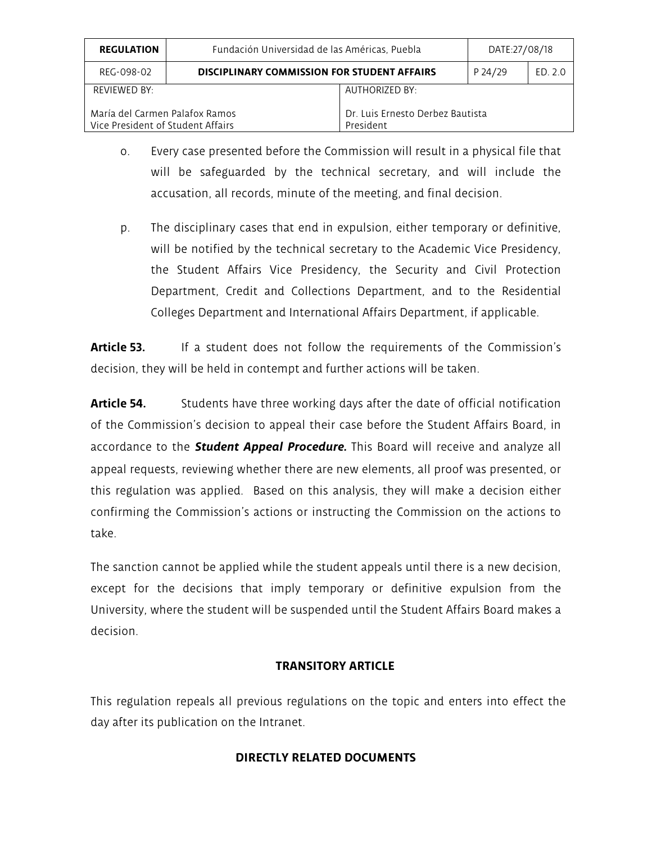| <b>REGULATION</b>                                                   | Fundación Universidad de las Américas, Puebla      |                                               | DATE:27/08/18 |         |  |
|---------------------------------------------------------------------|----------------------------------------------------|-----------------------------------------------|---------------|---------|--|
| REG-098-02                                                          | <b>DISCIPLINARY COMMISSION FOR STUDENT AFFAIRS</b> |                                               | P 24/29       | $FD$ 20 |  |
| REVIEWED BY:                                                        |                                                    | <b>AUTHORIZED BY:</b>                         |               |         |  |
| María del Carmen Palafox Ramos<br>Vice President of Student Affairs |                                                    | Dr. Luis Ernesto Derbez Bautista<br>President |               |         |  |

- o. Every case presented before the Commission will result in a physical file that will be safeguarded by the technical secretary, and will include the accusation, all records, minute of the meeting, and final decision.
- p. The disciplinary cases that end in expulsion, either temporary or definitive, will be notified by the technical secretary to the Academic Vice Presidency, the Student Affairs Vice Presidency, the Security and Civil Protection Department, Credit and Collections Department, and to the Residential Colleges Department and International Affairs Department, if applicable.

Article 53. If a student does not follow the requirements of the Commission's decision, they will be held in contempt and further actions will be taken.

**Article 54.** Students have three working days after the date of official notification of the Commission's decision to appeal their case before the Student Affairs Board, in accordance to the *Student Appeal Procedure.* This Board will receive and analyze all appeal requests, reviewing whether there are new elements, all proof was presented, or this regulation was applied. Based on this analysis, they will make a decision either confirming the Commission's actions or instructing the Commission on the actions to take.

The sanction cannot be applied while the student appeals until there is a new decision, except for the decisions that imply temporary or definitive expulsion from the University, where the student will be suspended until the Student Affairs Board makes a decision.

# **TRANSITORY ARTICLE**

This regulation repeals all previous regulations on the topic and enters into effect the day after its publication on the Intranet.

### **DIRECTLY RELATED DOCUMENTS**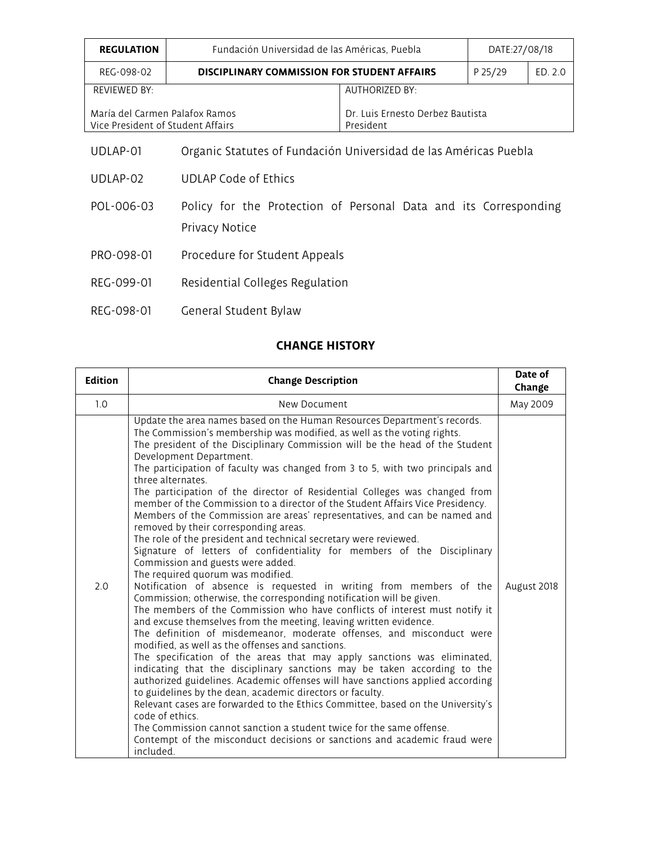| <b>REGULATION</b>                                                                                                    | Fundación Universidad de las Américas, Puebla                                             |  | DATE:27/08/18 |         |
|----------------------------------------------------------------------------------------------------------------------|-------------------------------------------------------------------------------------------|--|---------------|---------|
| REG-098-02                                                                                                           | <b>DISCIPLINARY COMMISSION FOR STUDENT AFFAIRS</b>                                        |  | P 25/29       | ED. 2.0 |
| <b>REVIEWED BY:</b>                                                                                                  | <b>AUTHORIZED BY:</b>                                                                     |  |               |         |
| María del Carmen Palafox Ramos<br>Dr. Luis Ernesto Derbez Bautista<br>Vice President of Student Affairs<br>President |                                                                                           |  |               |         |
| UDLAP-01                                                                                                             | Organic Statutes of Fundación Universidad de las Américas Puebla                          |  |               |         |
| UDLAP-02                                                                                                             | UDLAP Code of Ethics                                                                      |  |               |         |
| POL-006-03                                                                                                           | Policy for the Protection of Personal Data and its Corresponding<br><b>Privacy Notice</b> |  |               |         |

- PRO-098-01 Procedure for Student Appeals
- REG-099-01 Residential Colleges Regulation
- REG-098-01 General Student Bylaw

#### **CHANGE HISTORY**

| <b>Edition</b> | <b>Change Description</b>                                                                                                                                                                                                                                                                                                                                                                                                                                                                                                                                                                                                                                                                                                                                                                                                                                                                                                                                                                                                                                                                                                                                                                                                                                                                                                                                                                                                                                                                                                                                                                                                                                                                                                                                                                                                                                                                          | Date of<br>Change |
|----------------|----------------------------------------------------------------------------------------------------------------------------------------------------------------------------------------------------------------------------------------------------------------------------------------------------------------------------------------------------------------------------------------------------------------------------------------------------------------------------------------------------------------------------------------------------------------------------------------------------------------------------------------------------------------------------------------------------------------------------------------------------------------------------------------------------------------------------------------------------------------------------------------------------------------------------------------------------------------------------------------------------------------------------------------------------------------------------------------------------------------------------------------------------------------------------------------------------------------------------------------------------------------------------------------------------------------------------------------------------------------------------------------------------------------------------------------------------------------------------------------------------------------------------------------------------------------------------------------------------------------------------------------------------------------------------------------------------------------------------------------------------------------------------------------------------------------------------------------------------------------------------------------------------|-------------------|
| 1.0            | New Document                                                                                                                                                                                                                                                                                                                                                                                                                                                                                                                                                                                                                                                                                                                                                                                                                                                                                                                                                                                                                                                                                                                                                                                                                                                                                                                                                                                                                                                                                                                                                                                                                                                                                                                                                                                                                                                                                       | May 2009          |
| 2.0            | Update the area names based on the Human Resources Department's records.<br>The Commission's membership was modified, as well as the voting rights.<br>The president of the Disciplinary Commission will be the head of the Student<br>Development Department.<br>The participation of faculty was changed from 3 to 5, with two principals and<br>three alternates.<br>The participation of the director of Residential Colleges was changed from<br>member of the Commission to a director of the Student Affairs Vice Presidency.<br>Members of the Commission are areas' representatives, and can be named and<br>removed by their corresponding areas.<br>The role of the president and technical secretary were reviewed.<br>Signature of letters of confidentiality for members of the Disciplinary<br>Commission and guests were added.<br>The required quorum was modified.<br>Notification of absence is requested in writing from members of the<br>Commission; otherwise, the corresponding notification will be given.<br>The members of the Commission who have conflicts of interest must notify it<br>and excuse themselves from the meeting, leaving written evidence.<br>The definition of misdemeanor, moderate offenses, and misconduct were<br>modified, as well as the offenses and sanctions.<br>The specification of the areas that may apply sanctions was eliminated,<br>indicating that the disciplinary sanctions may be taken according to the<br>authorized guidelines. Academic offenses will have sanctions applied according<br>to guidelines by the dean, academic directors or faculty.<br>Relevant cases are forwarded to the Ethics Committee, based on the University's<br>code of ethics.<br>The Commission cannot sanction a student twice for the same offense.<br>Contempt of the misconduct decisions or sanctions and academic fraud were<br>included. | August 2018       |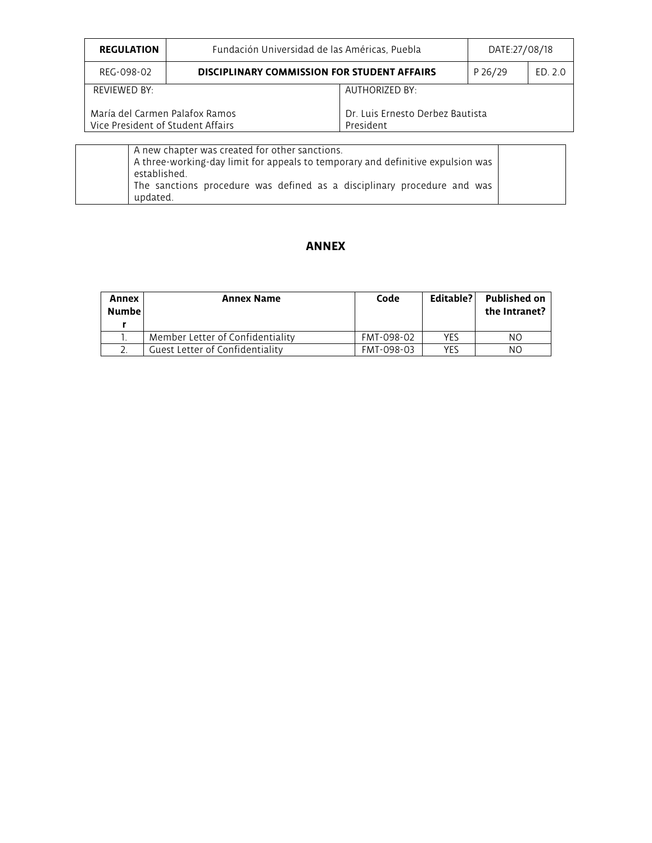| <b>REGULATION</b>                                                   | Fundación Universidad de las Américas, Puebla      |                                               | DATE:27/08/18 |            |
|---------------------------------------------------------------------|----------------------------------------------------|-----------------------------------------------|---------------|------------|
| REG-098-02                                                          | <b>DISCIPLINARY COMMISSION FOR STUDENT AFFAIRS</b> |                                               | P 26/29       | $FD$ 2 $O$ |
| REVIEWED BY:                                                        |                                                    | <b>AUTHORIZED BY:</b>                         |               |            |
| María del Carmen Palafox Ramos<br>Vice President of Student Affairs |                                                    | Dr. Luis Ernesto Derbez Bautista<br>President |               |            |
| A marco algantaron coa anastra di Cantable en assemblanta           |                                                    |                                               |               |            |

| A new chapter was created for other sanctions.                                  |  |
|---------------------------------------------------------------------------------|--|
| A three-working-day limit for appeals to temporary and definitive expulsion was |  |
| established.                                                                    |  |
| The sanctions procedure was defined as a disciplinary procedure and was         |  |
| updated.                                                                        |  |

# **ANNEX**

| Annex<br><b>Numbel</b> | <b>Annex Name</b>                | Code       | Editable? | <b>Published on</b><br>the Intranet? |
|------------------------|----------------------------------|------------|-----------|--------------------------------------|
|                        |                                  |            |           |                                      |
|                        | Member Letter of Confidentiality | FMT-098-02 | YF۲       | NO.                                  |
|                        | Guest Letter of Confidentiality  | FMT-098-03 | YF۲       | NO.                                  |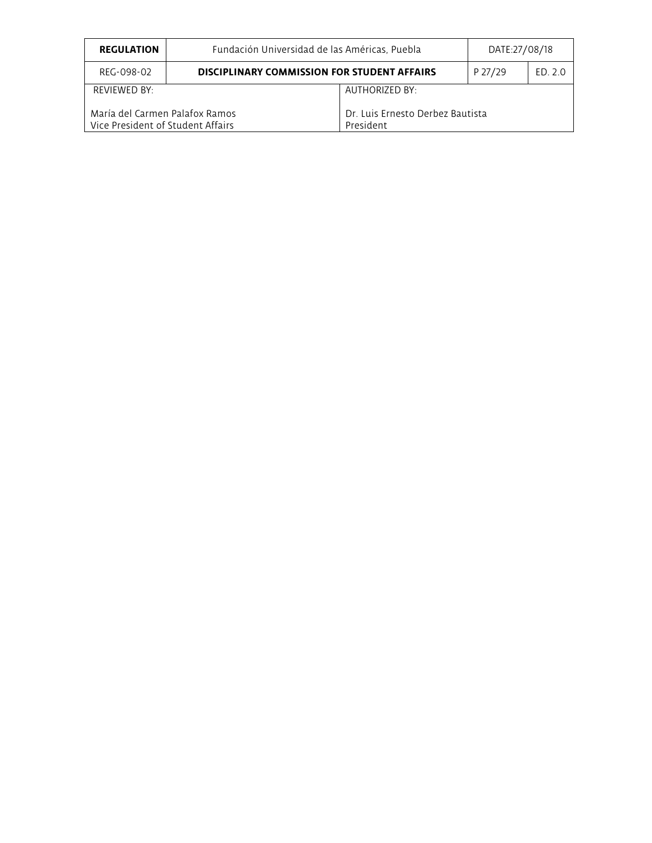| <b>REGULATION</b>                                                   | Fundación Universidad de las Américas, Puebla      |                                               | DATE:27/08/18 |         |
|---------------------------------------------------------------------|----------------------------------------------------|-----------------------------------------------|---------------|---------|
| REG-098-02                                                          | <b>DISCIPLINARY COMMISSION FOR STUDENT AFFAIRS</b> |                                               | P 27/29       | ED. 2.0 |
| REVIEWED BY:                                                        | <b>AUTHORIZED BY:</b>                              |                                               |               |         |
| María del Carmen Palafox Ramos<br>Vice President of Student Affairs |                                                    | Dr. Luis Ernesto Derbez Bautista<br>President |               |         |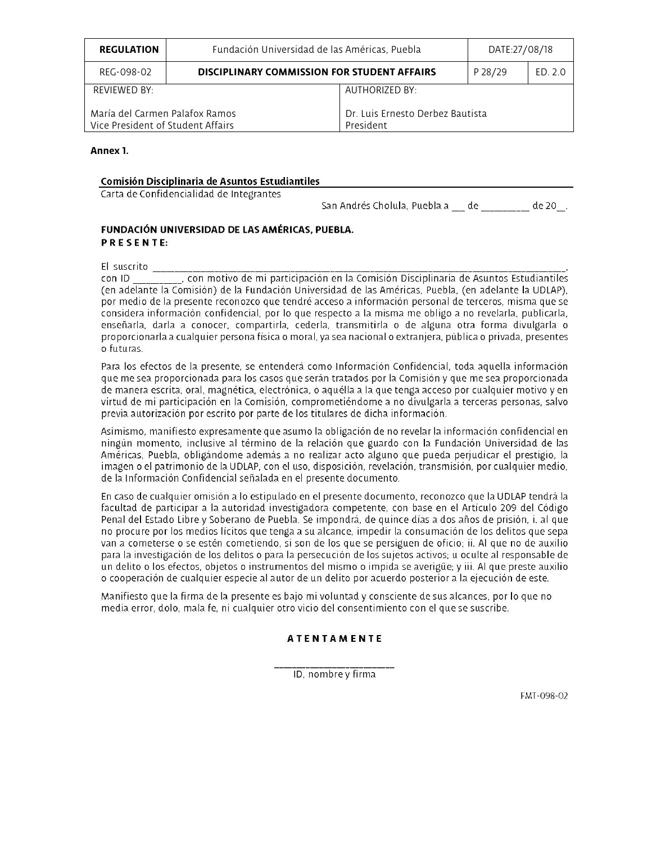| <b>REGULATION</b>                                                   | Fundación Universidad de las Américas, Puebla |                                               | DATE:27/08/18 |         |
|---------------------------------------------------------------------|-----------------------------------------------|-----------------------------------------------|---------------|---------|
| REG-098-02                                                          | DISCIPLINARY COMMISSION FOR STUDENT AFFAIRS   |                                               | P 28/29       | $FD$ 20 |
| REVIEWED BY:                                                        |                                               | <b>AUTHORIZED BY:</b>                         |               |         |
| María del Carmen Palafox Ramos<br>Vice President of Student Affairs |                                               | Dr. Luis Ernesto Derbez Bautista<br>President |               |         |

**Annex 1.**

#### Comisión Disciplinaria de Asuntos Estudiantiles

Carta de Confidencialidad de Integrantes

San Andrés Cholula, Puebla a \_\_ de \_\_\_\_\_\_\_ de 20\_.

#### FUNDACIÓN UNIVERSIDAD DE LAS AMÉRICAS, PUEBLA. **PRESENTE:**

El suscrito \_\_

, con motivo de mi participación en la Comisión Disciplinaria de Asuntos Estudiantiles con ID (en adelante la Comisión) de la Fundación Universidad de las Américas, Puebla, (en adelante la UDLAP). por medio de la presente reconozco que tendré acceso a información personal de terceros, misma que se considera información confidencial, por lo que respecto a la misma me obligo a no revelarla, publicarla, enseñarla, darla a conocer, compartirla, cederla, transmitirla o de alguna otra forma divulgarla o proporcionarla a cualquier persona física o moral, ya sea nacional o extranjera, pública o privada, presentes o futuras.

Para los efectos de la presente, se entenderá como Información Confidencial, toda aquella información que me sea proporcionada para los casos que serán tratados por la Comisión y que me sea proporcionada de manera escrita, oral, magnética, electrónica, o aquélla a la que tenga acceso por cualquier motivo y en virtud de mi participación en la Comisión, comprometiéndome a no divulgarla a terceras personas, salvo previa autorización por escrito por parte de los titulares de dicha información.

Asimismo, manifiesto expresamente que asumo la obligación de no revelar la información confidencial en ningún momento, inclusive al término de la relación que guardo con la Fundación Universidad de las Américas, Puebla, obligándome además a no realizar acto alguno que pueda perjudicar el prestigio, la imagen o el patrimonio de la UDLAP, con el uso, disposición, revelación, transmisión, por cualquier medio, de la Información Confidencial señalada en el presente documento.

En caso de cualquier omisión a lo estipulado en el presente documento, reconozco que la UDLAP tendrá la facultad de participar a la autoridad investigadora competente, con base en el Artículo 209 del Código Penal del Estado Libre y Soberano de Puebla. Se impondrá, de quince días a dos años de prisión, i. al que no procure por los medios lícitos que tenga a su alcance, impedir la consumación de los delitos que sepa van a cometerse o se estén cometiendo, si son de los que se persiguen de oficio; ii. Al que no de auxilio para la investigación de los delitos o para la persecución de los sujetos activos; u oculte al responsable de un delito o los efectos, objetos o instrumentos del mismo o impida se averigüe; y iii. Al que preste auxilio o cooperación de cualquier especie al autor de un delito por acuerdo posterior a la ejecución de este.

Manifiesto que la firma de la presente es bajo mi voluntad y consciente de sus alcances, por lo que no media error, dolo, mala fe, ni cualquier otro vicio del consentimiento con el que se suscribe.

#### **ATENTAMENTE**

ID, nombre y firma

FMT-098-02